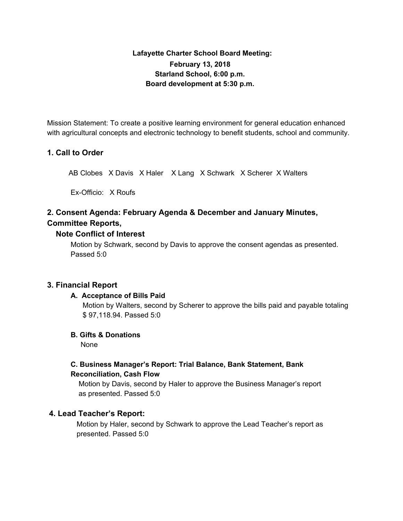## **Lafayette Charter School Board Meeting: February 13, 2018 Starland School, 6:00 p.m. Board development at 5:30 p.m.**

Mission Statement: To create a positive learning environment for general education enhanced with agricultural concepts and electronic technology to benefit students, school and community.

### **1. Call to Order**

AB Clobes X Davis X Haler X Lang X Schwark X Scherer X Walters

Ex-Officio: X Roufs

# **2. Consent Agenda: February Agenda & December and January Minutes, Committee Reports,**

### **Note Conflict of Interest**

Motion by Schwark, second by Davis to approve the consent agendas as presented. Passed 5:0

### **3. Financial Report**

### **A. Acceptance of Bills Paid**

Motion by Walters, second by Scherer to approve the bills paid and payable totaling \$ 97,118.94. Passed 5:0

### **B. Gifts & Donations**

None

## **C. Business Manager's Report: Trial Balance, Bank Statement, Bank Reconciliation, Cash Flow**

Motion by Davis, second by Haler to approve the Business Manager's report as presented. Passed 5:0

### **4. Lead Teacher's Report:**

Motion by Haler, second by Schwark to approve the Lead Teacher's report as presented. Passed 5:0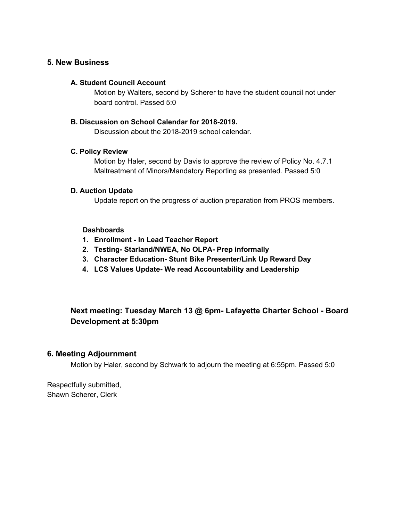### **5. New Business**

#### **A. Student Council Account**

Motion by Walters, second by Scherer to have the student council not under board control. Passed 5:0

#### **B. Discussion on School Calendar for 2018-2019.**

Discussion about the 2018-2019 school calendar.

#### **C. Policy Review**

Motion by Haler, second by Davis to approve the review of Policy No. 4.7.1 Maltreatment of Minors/Mandatory Reporting as presented. Passed 5:0

#### **D. Auction Update**

Update report on the progress of auction preparation from PROS members.

#### **Dashboards**

- **1. Enrollment - In Lead Teacher Report**
- **2. Testing- Starland/NWEA, No OLPA- Prep informally**
- **3. Character Education- Stunt Bike Presenter/Link Up Reward Day**
- **4. LCS Values Update- We read Accountability and Leadership**

## **Next meeting: Tuesday March 13 @ 6pm- Lafayette Charter School - Board Development at 5:30pm**

#### **6. Meeting Adjournment**

Motion by Haler, second by Schwark to adjourn the meeting at 6:55pm. Passed 5:0

Respectfully submitted, Shawn Scherer, Clerk